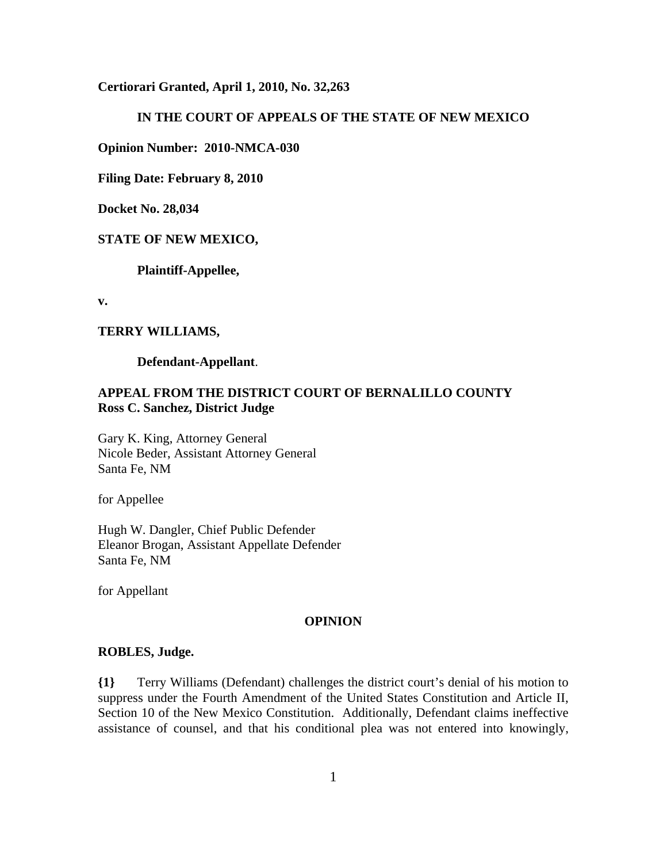**Certiorari Granted, April 1, 2010, No. 32,263**

# **IN THE COURT OF APPEALS OF THE STATE OF NEW MEXICO**

**Opinion Number: 2010-NMCA-030**

**Filing Date: February 8, 2010**

**Docket No. 28,034**

## **STATE OF NEW MEXICO,**

**Plaintiff-Appellee,**

**v.**

#### **TERRY WILLIAMS,**

**Defendant-Appellant**.

# **APPEAL FROM THE DISTRICT COURT OF BERNALILLO COUNTY Ross C. Sanchez, District Judge**

Gary K. King, Attorney General Nicole Beder, Assistant Attorney General Santa Fe, NM

for Appellee

Hugh W. Dangler, Chief Public Defender Eleanor Brogan, Assistant Appellate Defender Santa Fe, NM

for Appellant

#### **OPINION**

#### **ROBLES, Judge.**

**{1}** Terry Williams (Defendant) challenges the district court's denial of his motion to suppress under the Fourth Amendment of the United States Constitution and Article II, Section 10 of the New Mexico Constitution. Additionally, Defendant claims ineffective assistance of counsel, and that his conditional plea was not entered into knowingly,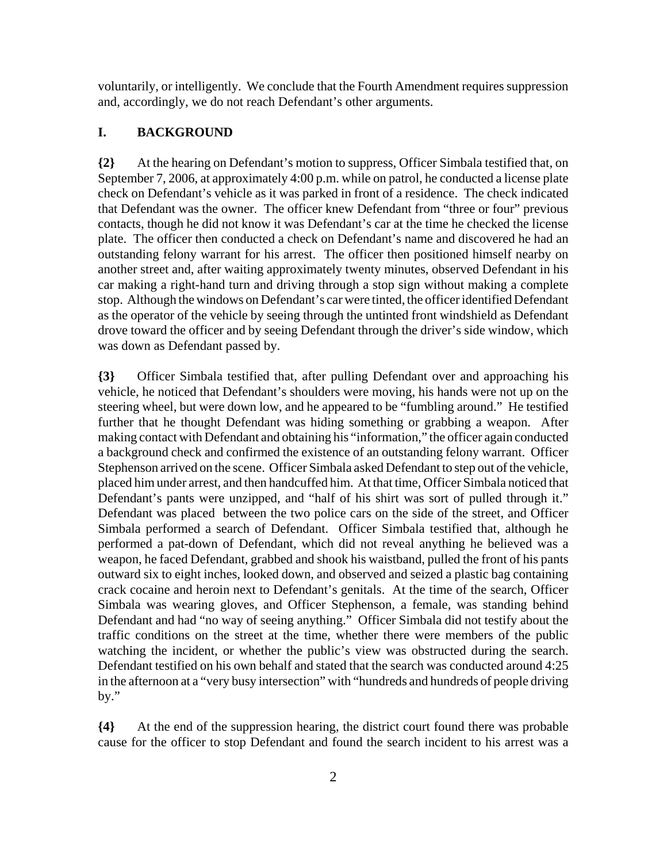voluntarily, or intelligently. We conclude that the Fourth Amendment requires suppression and, accordingly, we do not reach Defendant's other arguments.

# **I. BACKGROUND**

**{2}** At the hearing on Defendant's motion to suppress, Officer Simbala testified that, on September 7, 2006, at approximately 4:00 p.m. while on patrol, he conducted a license plate check on Defendant's vehicle as it was parked in front of a residence. The check indicated that Defendant was the owner. The officer knew Defendant from "three or four" previous contacts, though he did not know it was Defendant's car at the time he checked the license plate. The officer then conducted a check on Defendant's name and discovered he had an outstanding felony warrant for his arrest. The officer then positioned himself nearby on another street and, after waiting approximately twenty minutes, observed Defendant in his car making a right-hand turn and driving through a stop sign without making a complete stop. Although the windows on Defendant's car were tinted, the officer identified Defendant as the operator of the vehicle by seeing through the untinted front windshield as Defendant drove toward the officer and by seeing Defendant through the driver's side window, which was down as Defendant passed by.

**{3}** Officer Simbala testified that, after pulling Defendant over and approaching his vehicle, he noticed that Defendant's shoulders were moving, his hands were not up on the steering wheel, but were down low, and he appeared to be "fumbling around." He testified further that he thought Defendant was hiding something or grabbing a weapon. After making contact with Defendant and obtaining his "information," the officer again conducted a background check and confirmed the existence of an outstanding felony warrant. Officer Stephenson arrived on the scene. Officer Simbala asked Defendant to step out of the vehicle, placed him under arrest, and then handcuffed him. At that time, Officer Simbala noticed that Defendant's pants were unzipped, and "half of his shirt was sort of pulled through it." Defendant was placed between the two police cars on the side of the street, and Officer Simbala performed a search of Defendant. Officer Simbala testified that, although he performed a pat-down of Defendant, which did not reveal anything he believed was a weapon, he faced Defendant, grabbed and shook his waistband, pulled the front of his pants outward six to eight inches, looked down, and observed and seized a plastic bag containing crack cocaine and heroin next to Defendant's genitals. At the time of the search, Officer Simbala was wearing gloves, and Officer Stephenson, a female, was standing behind Defendant and had "no way of seeing anything." Officer Simbala did not testify about the traffic conditions on the street at the time, whether there were members of the public watching the incident, or whether the public's view was obstructed during the search. Defendant testified on his own behalf and stated that the search was conducted around 4:25 in the afternoon at a "very busy intersection" with "hundreds and hundreds of people driving by."

**{4}** At the end of the suppression hearing, the district court found there was probable cause for the officer to stop Defendant and found the search incident to his arrest was a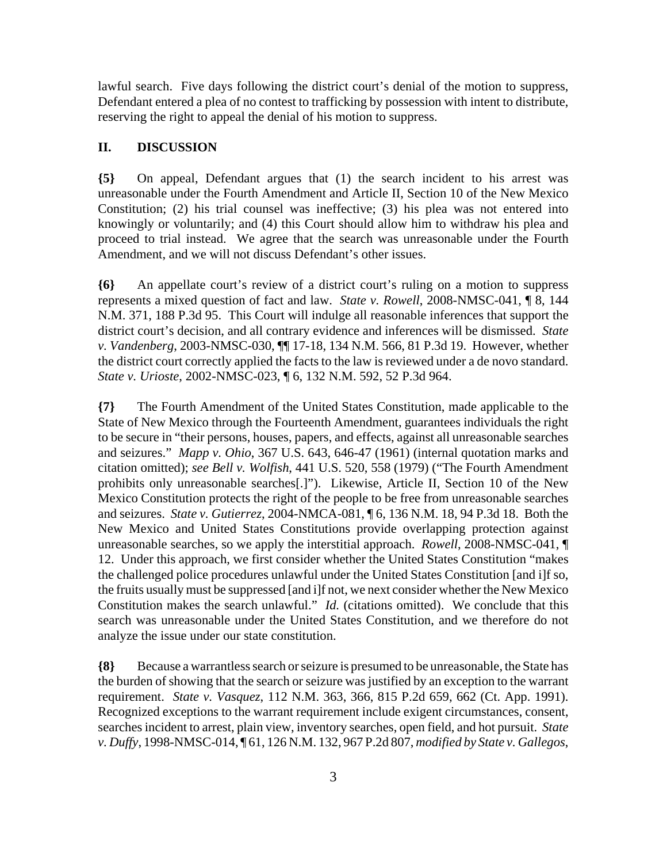lawful search. Five days following the district court's denial of the motion to suppress, Defendant entered a plea of no contest to trafficking by possession with intent to distribute, reserving the right to appeal the denial of his motion to suppress.

# **II. DISCUSSION**

**{5}** On appeal, Defendant argues that (1) the search incident to his arrest was unreasonable under the Fourth Amendment and Article II, Section 10 of the New Mexico Constitution; (2) his trial counsel was ineffective; (3) his plea was not entered into knowingly or voluntarily; and (4) this Court should allow him to withdraw his plea and proceed to trial instead. We agree that the search was unreasonable under the Fourth Amendment, and we will not discuss Defendant's other issues.

**{6}** An appellate court's review of a district court's ruling on a motion to suppress represents a mixed question of fact and law. *State v. Rowell*, 2008-NMSC-041, ¶ 8, 144 N.M. 371, 188 P.3d 95. This Court will indulge all reasonable inferences that support the district court's decision, and all contrary evidence and inferences will be dismissed. *State v. Vandenberg*, 2003-NMSC-030, ¶¶ 17-18, 134 N.M. 566, 81 P.3d 19. However, whether the district court correctly applied the facts to the law is reviewed under a de novo standard. *State v. Urioste*, 2002-NMSC-023, ¶ 6, 132 N.M. 592, 52 P.3d 964.

**{7}** The Fourth Amendment of the United States Constitution, made applicable to the State of New Mexico through the Fourteenth Amendment, guarantees individuals the right to be secure in "their persons, houses, papers, and effects, against all unreasonable searches and seizures." *Mapp v. Ohio*, 367 U.S. 643, 646-47 (1961) (internal quotation marks and citation omitted); *see Bell v. Wolfish*, 441 U.S. 520, 558 (1979) ("The Fourth Amendment prohibits only unreasonable searches[.]"). Likewise, Article II, Section 10 of the New Mexico Constitution protects the right of the people to be free from unreasonable searches and seizures. *State v. Gutierrez*, 2004-NMCA-081, ¶ 6, 136 N.M. 18, 94 P.3d 18. Both the New Mexico and United States Constitutions provide overlapping protection against unreasonable searches, so we apply the interstitial approach. *Rowell*, 2008-NMSC-041, ¶ 12. Under this approach, we first consider whether the United States Constitution "makes the challenged police procedures unlawful under the United States Constitution [and i]f so, the fruits usually must be suppressed [and i]f not, we next consider whether the New Mexico Constitution makes the search unlawful." *Id.* (citations omitted). We conclude that this search was unreasonable under the United States Constitution, and we therefore do not analyze the issue under our state constitution.

**{8}** Because a warrantless search or seizure is presumed to be unreasonable, the State has the burden of showing that the search or seizure was justified by an exception to the warrant requirement. *State v. Vasquez*, 112 N.M. 363, 366, 815 P.2d 659, 662 (Ct. App. 1991). Recognized exceptions to the warrant requirement include exigent circumstances, consent, searches incident to arrest, plain view, inventory searches, open field, and hot pursuit. *State v. Duffy*, 1998-NMSC-014, ¶ 61, 126 N.M. 132, 967 P.2d 807, *modified by State v. Gallegos*,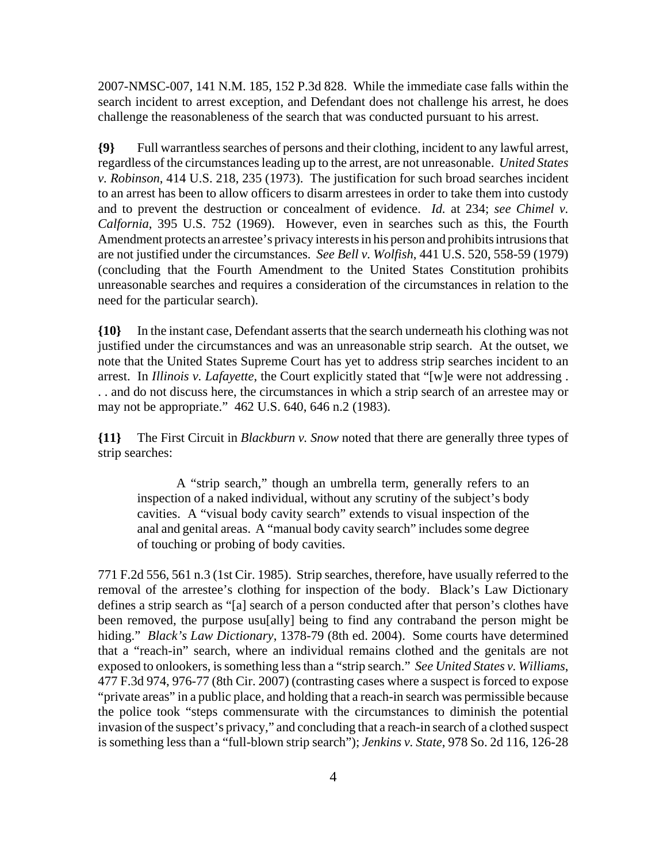2007-NMSC-007, 141 N.M. 185, 152 P.3d 828. While the immediate case falls within the search incident to arrest exception, and Defendant does not challenge his arrest, he does challenge the reasonableness of the search that was conducted pursuant to his arrest.

**{9}** Full warrantless searches of persons and their clothing, incident to any lawful arrest, regardless of the circumstances leading up to the arrest, are not unreasonable. *United States v. Robinson*, 414 U.S. 218, 235 (1973). The justification for such broad searches incident to an arrest has been to allow officers to disarm arrestees in order to take them into custody and to prevent the destruction or concealment of evidence. *Id.* at 234; *see Chimel v. Calfornia*, 395 U.S. 752 (1969). However, even in searches such as this, the Fourth Amendment protects an arrestee's privacy interests in his person and prohibits intrusions that are not justified under the circumstances. *See Bell v. Wolfish*, 441 U.S. 520, 558-59 (1979) (concluding that the Fourth Amendment to the United States Constitution prohibits unreasonable searches and requires a consideration of the circumstances in relation to the need for the particular search).

**{10}** In the instant case, Defendant asserts that the search underneath his clothing was not justified under the circumstances and was an unreasonable strip search. At the outset, we note that the United States Supreme Court has yet to address strip searches incident to an arrest. In *Illinois v. Lafayette*, the Court explicitly stated that "[w]e were not addressing . . . and do not discuss here, the circumstances in which a strip search of an arrestee may or may not be appropriate." 462 U.S. 640, 646 n.2 (1983).

**{11}** The First Circuit in *Blackburn v. Snow* noted that there are generally three types of strip searches:

A "strip search," though an umbrella term, generally refers to an inspection of a naked individual, without any scrutiny of the subject's body cavities. A "visual body cavity search" extends to visual inspection of the anal and genital areas. A "manual body cavity search" includes some degree of touching or probing of body cavities.

771 F.2d 556, 561 n.3 (1st Cir. 1985). Strip searches, therefore, have usually referred to the removal of the arrestee's clothing for inspection of the body. Black's Law Dictionary defines a strip search as "[a] search of a person conducted after that person's clothes have been removed, the purpose usu[ally] being to find any contraband the person might be hiding." *Black's Law Dictionary*, 1378-79 (8th ed. 2004). Some courts have determined that a "reach-in" search, where an individual remains clothed and the genitals are not exposed to onlookers, is something less than a "strip search." *See United States v. Williams*, 477 F.3d 974, 976-77 (8th Cir. 2007) (contrasting cases where a suspect is forced to expose "private areas" in a public place, and holding that a reach-in search was permissible because the police took "steps commensurate with the circumstances to diminish the potential invasion of the suspect's privacy," and concluding that a reach-in search of a clothed suspect is something less than a "full-blown strip search"); *Jenkins v. State*, 978 So. 2d 116, 126-28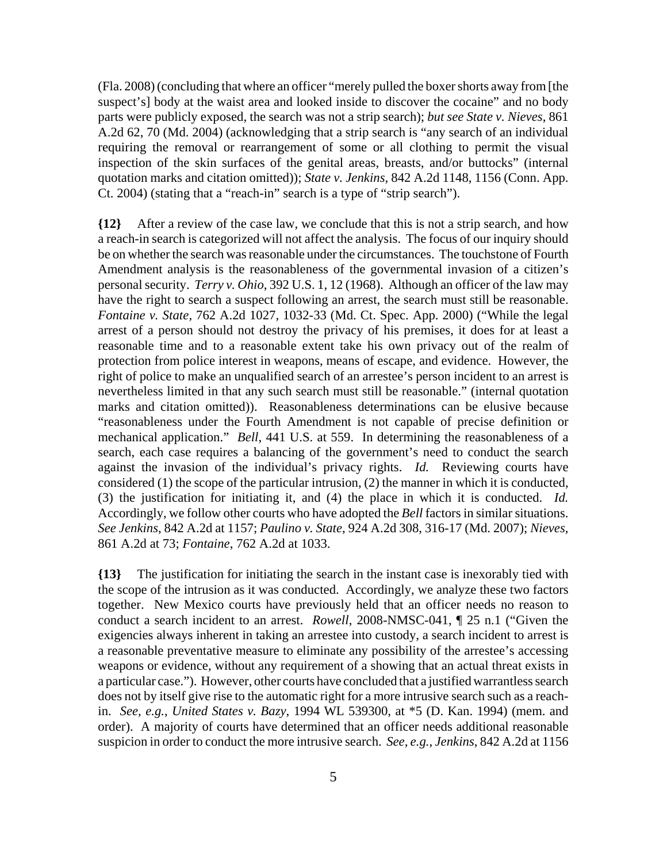(Fla. 2008) (concluding that where an officer "merely pulled the boxer shorts away from [the suspect's] body at the waist area and looked inside to discover the cocaine" and no body parts were publicly exposed, the search was not a strip search); *but see State v. Nieves*, 861 A.2d 62, 70 (Md. 2004) (acknowledging that a strip search is "any search of an individual requiring the removal or rearrangement of some or all clothing to permit the visual inspection of the skin surfaces of the genital areas, breasts, and/or buttocks" (internal quotation marks and citation omitted)); *State v. Jenkins*, 842 A.2d 1148, 1156 (Conn. App. Ct. 2004) (stating that a "reach-in" search is a type of "strip search").

**{12}** After a review of the case law, we conclude that this is not a strip search, and how a reach-in search is categorized will not affect the analysis. The focus of our inquiry should be on whether the search was reasonable under the circumstances. The touchstone of Fourth Amendment analysis is the reasonableness of the governmental invasion of a citizen's personal security. *Terry v. Ohio*, 392 U.S. 1, 12 (1968). Although an officer of the law may have the right to search a suspect following an arrest, the search must still be reasonable. *Fontaine v. State*, 762 A.2d 1027, 1032-33 (Md. Ct. Spec. App. 2000) ("While the legal arrest of a person should not destroy the privacy of his premises, it does for at least a reasonable time and to a reasonable extent take his own privacy out of the realm of protection from police interest in weapons, means of escape, and evidence. However, the right of police to make an unqualified search of an arrestee's person incident to an arrest is nevertheless limited in that any such search must still be reasonable." (internal quotation marks and citation omitted)). Reasonableness determinations can be elusive because "reasonableness under the Fourth Amendment is not capable of precise definition or mechanical application." *Bell*, 441 U.S. at 559. In determining the reasonableness of a search, each case requires a balancing of the government's need to conduct the search against the invasion of the individual's privacy rights. *Id.* Reviewing courts have considered (1) the scope of the particular intrusion, (2) the manner in which it is conducted, (3) the justification for initiating it, and (4) the place in which it is conducted. *Id.* Accordingly, we follow other courts who have adopted the *Bell* factors in similar situations. *See Jenkins*, 842 A.2d at 1157; *Paulino v. State*, 924 A.2d 308, 316-17 (Md. 2007); *Nieves*, 861 A.2d at 73; *Fontaine*, 762 A.2d at 1033.

**{13}** The justification for initiating the search in the instant case is inexorably tied with the scope of the intrusion as it was conducted. Accordingly, we analyze these two factors together. New Mexico courts have previously held that an officer needs no reason to conduct a search incident to an arrest. *Rowell*, 2008-NMSC-041, ¶ 25 n.1 ("Given the exigencies always inherent in taking an arrestee into custody, a search incident to arrest is a reasonable preventative measure to eliminate any possibility of the arrestee's accessing weapons or evidence, without any requirement of a showing that an actual threat exists in a particular case."). However, other courts have concluded that a justified warrantless search does not by itself give rise to the automatic right for a more intrusive search such as a reachin. *See, e.g.*, *United States v. Bazy*, 1994 WL 539300, at \*5 (D. Kan. 1994) (mem. and order). A majority of courts have determined that an officer needs additional reasonable suspicion in order to conduct the more intrusive search. *See, e.g.*, *Jenkins*, 842 A.2d at 1156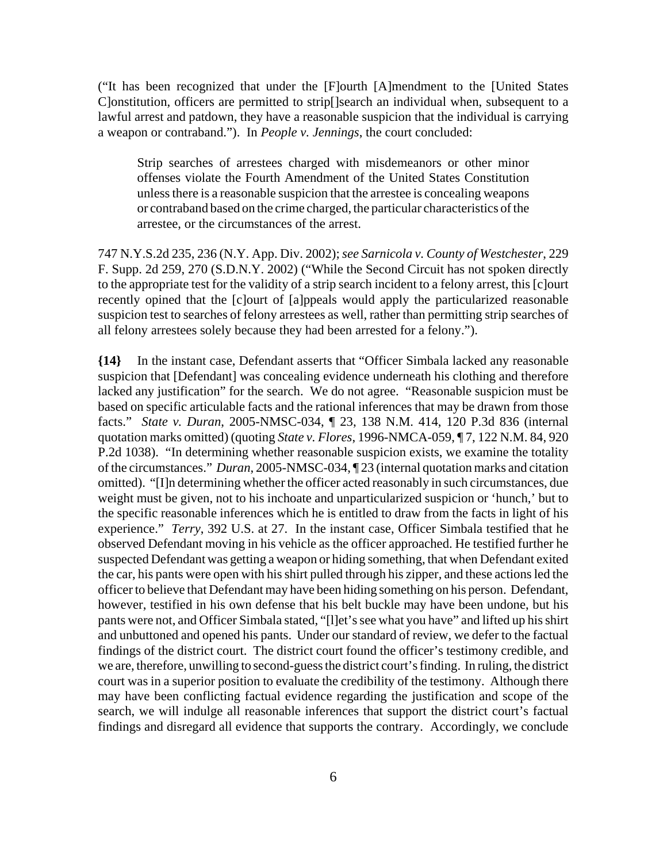("It has been recognized that under the [F]ourth [A]mendment to the [United States C]onstitution, officers are permitted to strip[]search an individual when, subsequent to a lawful arrest and patdown, they have a reasonable suspicion that the individual is carrying a weapon or contraband."). In *People v. Jennings*, the court concluded:

Strip searches of arrestees charged with misdemeanors or other minor offenses violate the Fourth Amendment of the United States Constitution unless there is a reasonable suspicion that the arrestee is concealing weapons or contraband based on the crime charged, the particular characteristics of the arrestee, or the circumstances of the arrest.

747 N.Y.S.2d 235, 236 (N.Y. App. Div. 2002); *see Sarnicola v. County of Westchester*, 229 F. Supp. 2d 259, 270 (S.D.N.Y. 2002) ("While the Second Circuit has not spoken directly to the appropriate test for the validity of a strip search incident to a felony arrest, this [c]ourt recently opined that the [c]ourt of [a]ppeals would apply the particularized reasonable suspicion test to searches of felony arrestees as well, rather than permitting strip searches of all felony arrestees solely because they had been arrested for a felony.").

**{14}** In the instant case, Defendant asserts that "Officer Simbala lacked any reasonable suspicion that [Defendant] was concealing evidence underneath his clothing and therefore lacked any justification" for the search. We do not agree. "Reasonable suspicion must be based on specific articulable facts and the rational inferences that may be drawn from those facts." *State v. Duran*, 2005-NMSC-034, ¶ 23, 138 N.M. 414, 120 P.3d 836 (internal quotation marks omitted) (quoting *State v. Flores*, 1996-NMCA-059, ¶ 7, 122 N.M. 84, 920 P.2d 1038). "In determining whether reasonable suspicion exists, we examine the totality of the circumstances." *Duran*, 2005-NMSC-034, ¶ 23 (internal quotation marks and citation omitted). "[I]n determining whether the officer acted reasonably in such circumstances, due weight must be given, not to his inchoate and unparticularized suspicion or 'hunch,' but to the specific reasonable inferences which he is entitled to draw from the facts in light of his experience." *Terry*, 392 U.S. at 27. In the instant case, Officer Simbala testified that he observed Defendant moving in his vehicle as the officer approached. He testified further he suspected Defendant was getting a weapon or hiding something, that when Defendant exited the car, his pants were open with his shirt pulled through his zipper, and these actions led the officer to believe that Defendant may have been hiding something on his person. Defendant, however, testified in his own defense that his belt buckle may have been undone, but his pants were not, and Officer Simbala stated, "[l]et's see what you have" and lifted up his shirt and unbuttoned and opened his pants. Under our standard of review, we defer to the factual findings of the district court. The district court found the officer's testimony credible, and we are, therefore, unwilling to second-guess the district court's finding. In ruling, the district court was in a superior position to evaluate the credibility of the testimony. Although there may have been conflicting factual evidence regarding the justification and scope of the search, we will indulge all reasonable inferences that support the district court's factual findings and disregard all evidence that supports the contrary. Accordingly, we conclude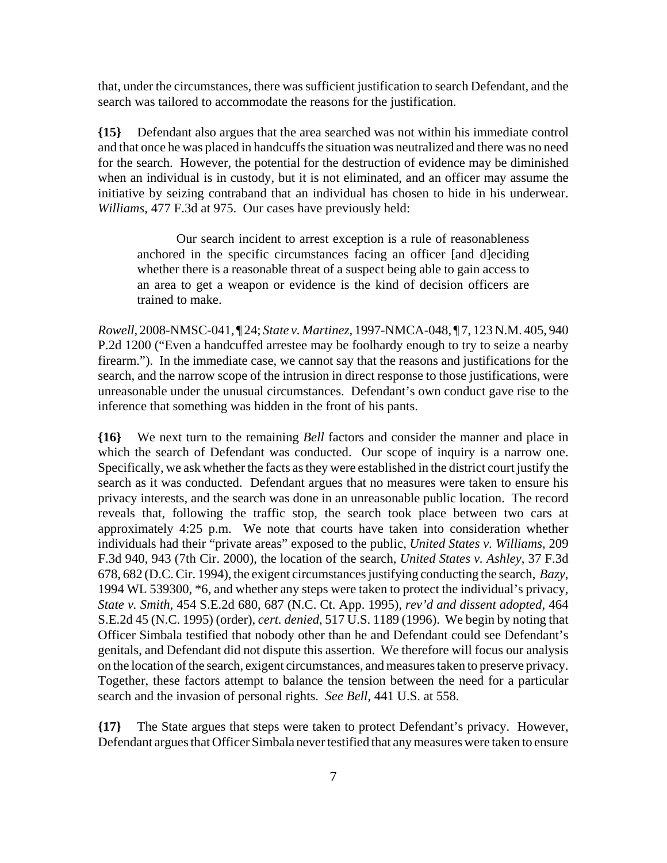that, under the circumstances, there was sufficient justification to search Defendant, and the search was tailored to accommodate the reasons for the justification.

**{15}** Defendant also argues that the area searched was not within his immediate control and that once he was placed in handcuffs the situation was neutralized and there was no need for the search. However, the potential for the destruction of evidence may be diminished when an individual is in custody, but it is not eliminated, and an officer may assume the initiative by seizing contraband that an individual has chosen to hide in his underwear. *Williams*, 477 F.3d at 975. Our cases have previously held:

Our search incident to arrest exception is a rule of reasonableness anchored in the specific circumstances facing an officer [and d]eciding whether there is a reasonable threat of a suspect being able to gain access to an area to get a weapon or evidence is the kind of decision officers are trained to make.

*Rowell*, 2008-NMSC-041, ¶ 24; *State v. Martinez*, 1997-NMCA-048, ¶ 7, 123 N.M. 405, 940 P.2d 1200 ("Even a handcuffed arrestee may be foolhardy enough to try to seize a nearby firearm."). In the immediate case, we cannot say that the reasons and justifications for the search, and the narrow scope of the intrusion in direct response to those justifications, were unreasonable under the unusual circumstances. Defendant's own conduct gave rise to the inference that something was hidden in the front of his pants.

**{16}** We next turn to the remaining *Bell* factors and consider the manner and place in which the search of Defendant was conducted. Our scope of inquiry is a narrow one. Specifically, we ask whether the facts as they were established in the district court justify the search as it was conducted. Defendant argues that no measures were taken to ensure his privacy interests, and the search was done in an unreasonable public location. The record reveals that, following the traffic stop, the search took place between two cars at approximately 4:25 p.m. We note that courts have taken into consideration whether individuals had their "private areas" exposed to the public, *United States v. Williams*, 209 F.3d 940, 943 (7th Cir. 2000), the location of the search, *United States v. Ashley*, 37 F.3d 678, 682 (D.C. Cir. 1994), the exigent circumstances justifying conducting the search, *Bazy*, 1994 WL 539300, \*6, and whether any steps were taken to protect the individual's privacy, *State v. Smith*, 454 S.E.2d 680, 687 (N.C. Ct. App. 1995), *rev'd and dissent adopted*, 464 S.E.2d 45 (N.C. 1995) (order), *cert. denied*, 517 U.S. 1189 (1996). We begin by noting that Officer Simbala testified that nobody other than he and Defendant could see Defendant's genitals, and Defendant did not dispute this assertion. We therefore will focus our analysis on the location of the search, exigent circumstances, and measures taken to preserve privacy. Together, these factors attempt to balance the tension between the need for a particular search and the invasion of personal rights. *See Bell*, 441 U.S. at 558.

**{17}** The State argues that steps were taken to protect Defendant's privacy. However, Defendant argues that Officer Simbala never testified that any measures were taken to ensure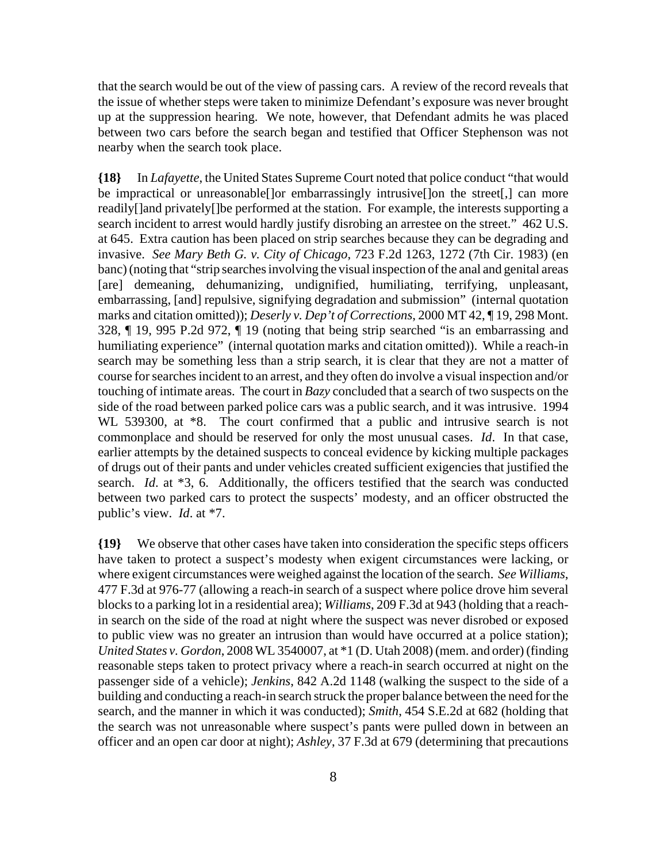that the search would be out of the view of passing cars. A review of the record reveals that the issue of whether steps were taken to minimize Defendant's exposure was never brought up at the suppression hearing. We note, however, that Defendant admits he was placed between two cars before the search began and testified that Officer Stephenson was not nearby when the search took place.

**{18}** In *Lafayette*, the United States Supreme Court noted that police conduct "that would be impractical or unreasonable[]or embarrassingly intrusive[]on the street[,] can more readily[]and privately[]be performed at the station. For example, the interests supporting a search incident to arrest would hardly justify disrobing an arrestee on the street." 462 U.S. at 645. Extra caution has been placed on strip searches because they can be degrading and invasive. *See Mary Beth G. v. City of Chicago*, 723 F.2d 1263, 1272 (7th Cir. 1983) (en banc) (noting that "strip searches involving the visual inspection of the anal and genital areas [are] demeaning, dehumanizing, undignified, humiliating, terrifying, unpleasant, embarrassing, [and] repulsive, signifying degradation and submission" (internal quotation marks and citation omitted)); *Deserly v. Dep't of Corrections*, 2000 MT 42, ¶ 19, 298 Mont. 328, ¶ 19, 995 P.2d 972, ¶ 19 (noting that being strip searched "is an embarrassing and humiliating experience" (internal quotation marks and citation omitted)). While a reach-in search may be something less than a strip search, it is clear that they are not a matter of course for searches incident to an arrest, and they often do involve a visual inspection and/or touching of intimate areas. The court in *Bazy* concluded that a search of two suspects on the side of the road between parked police cars was a public search, and it was intrusive. 1994 WL 539300, at  $*8$ . The court confirmed that a public and intrusive search is not commonplace and should be reserved for only the most unusual cases. *Id*. In that case, earlier attempts by the detained suspects to conceal evidence by kicking multiple packages of drugs out of their pants and under vehicles created sufficient exigencies that justified the search. *Id*. at \*3, 6. Additionally, the officers testified that the search was conducted between two parked cars to protect the suspects' modesty, and an officer obstructed the public's view. *Id*. at \*7.

**{19}** We observe that other cases have taken into consideration the specific steps officers have taken to protect a suspect's modesty when exigent circumstances were lacking, or where exigent circumstances were weighed against the location of the search. *See Williams*, 477 F.3d at 976-77 (allowing a reach-in search of a suspect where police drove him several blocks to a parking lot in a residential area); *Williams*, 209 F.3d at 943 (holding that a reachin search on the side of the road at night where the suspect was never disrobed or exposed to public view was no greater an intrusion than would have occurred at a police station); *United States v. Gordon*, 2008 WL 3540007, at \*1 (D. Utah 2008) (mem. and order) (finding reasonable steps taken to protect privacy where a reach-in search occurred at night on the passenger side of a vehicle); *Jenkins*, 842 A.2d 1148 (walking the suspect to the side of a building and conducting a reach-in search struck the proper balance between the need for the search, and the manner in which it was conducted); *Smith*, 454 S.E.2d at 682 (holding that the search was not unreasonable where suspect's pants were pulled down in between an officer and an open car door at night); *Ashley*, 37 F.3d at 679 (determining that precautions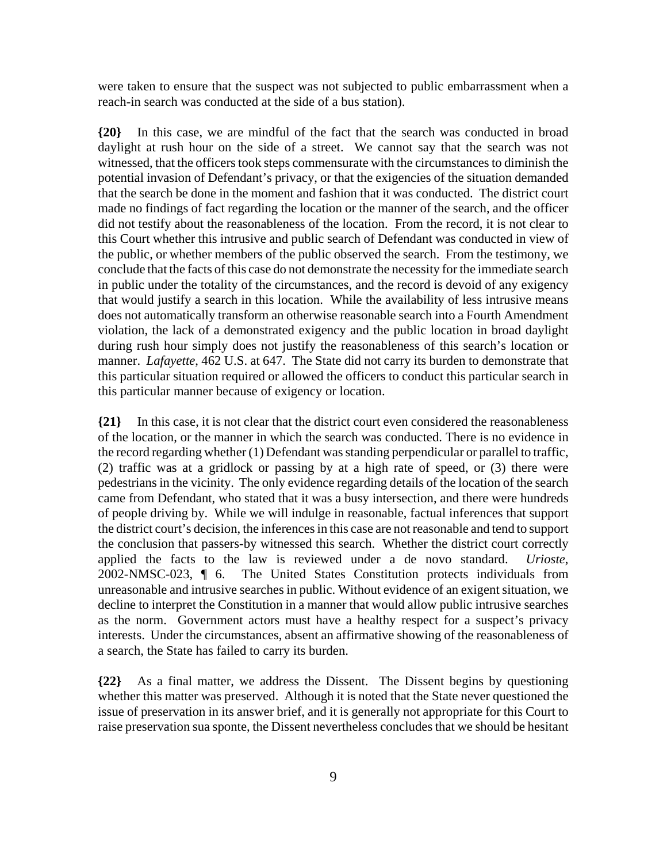were taken to ensure that the suspect was not subjected to public embarrassment when a reach-in search was conducted at the side of a bus station).

**{20}** In this case, we are mindful of the fact that the search was conducted in broad daylight at rush hour on the side of a street. We cannot say that the search was not witnessed, that the officers took steps commensurate with the circumstances to diminish the potential invasion of Defendant's privacy, or that the exigencies of the situation demanded that the search be done in the moment and fashion that it was conducted. The district court made no findings of fact regarding the location or the manner of the search, and the officer did not testify about the reasonableness of the location. From the record, it is not clear to this Court whether this intrusive and public search of Defendant was conducted in view of the public, or whether members of the public observed the search. From the testimony, we conclude that the facts of this case do not demonstrate the necessity for the immediate search in public under the totality of the circumstances, and the record is devoid of any exigency that would justify a search in this location. While the availability of less intrusive means does not automatically transform an otherwise reasonable search into a Fourth Amendment violation, the lack of a demonstrated exigency and the public location in broad daylight during rush hour simply does not justify the reasonableness of this search's location or manner. *Lafayette*, 462 U.S. at 647. The State did not carry its burden to demonstrate that this particular situation required or allowed the officers to conduct this particular search in this particular manner because of exigency or location.

**{21}** In this case, it is not clear that the district court even considered the reasonableness of the location, or the manner in which the search was conducted. There is no evidence in the record regarding whether (1) Defendant was standing perpendicular or parallel to traffic, (2) traffic was at a gridlock or passing by at a high rate of speed, or (3) there were pedestrians in the vicinity. The only evidence regarding details of the location of the search came from Defendant, who stated that it was a busy intersection, and there were hundreds of people driving by. While we will indulge in reasonable, factual inferences that support the district court's decision, the inferences in this case are not reasonable and tend to support the conclusion that passers-by witnessed this search. Whether the district court correctly applied the facts to the law is reviewed under a de novo standard. *Urioste*, 2002-NMSC-023, ¶ 6. The United States Constitution protects individuals from unreasonable and intrusive searches in public. Without evidence of an exigent situation, we decline to interpret the Constitution in a manner that would allow public intrusive searches as the norm. Government actors must have a healthy respect for a suspect's privacy interests. Under the circumstances, absent an affirmative showing of the reasonableness of a search, the State has failed to carry its burden.

**{22}** As a final matter, we address the Dissent. The Dissent begins by questioning whether this matter was preserved. Although it is noted that the State never questioned the issue of preservation in its answer brief, and it is generally not appropriate for this Court to raise preservation sua sponte, the Dissent nevertheless concludes that we should be hesitant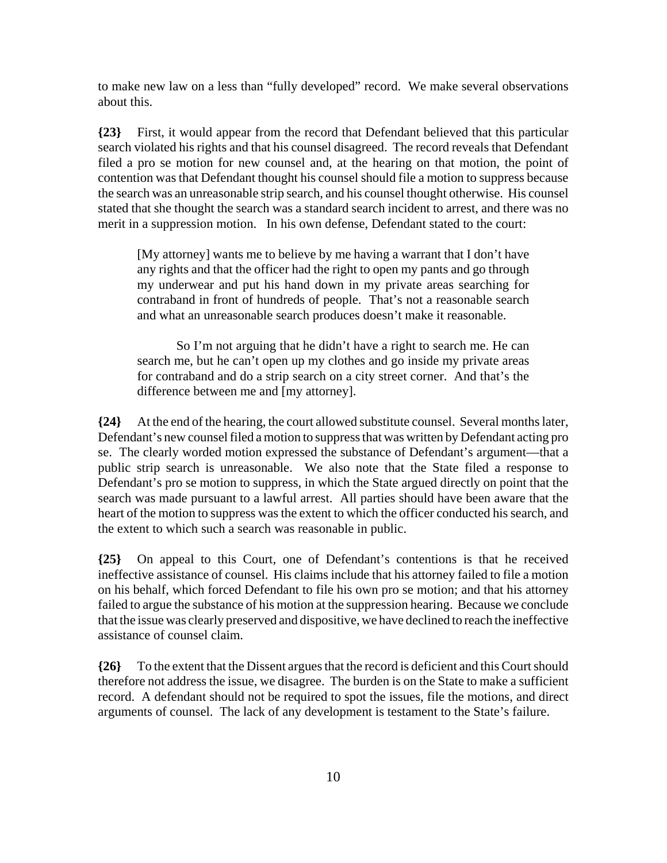to make new law on a less than "fully developed" record. We make several observations about this.

**{23}** First, it would appear from the record that Defendant believed that this particular search violated his rights and that his counsel disagreed. The record reveals that Defendant filed a pro se motion for new counsel and, at the hearing on that motion, the point of contention was that Defendant thought his counsel should file a motion to suppress because the search was an unreasonable strip search, and his counsel thought otherwise. His counsel stated that she thought the search was a standard search incident to arrest, and there was no merit in a suppression motion. In his own defense, Defendant stated to the court:

[My attorney] wants me to believe by me having a warrant that I don't have any rights and that the officer had the right to open my pants and go through my underwear and put his hand down in my private areas searching for contraband in front of hundreds of people. That's not a reasonable search and what an unreasonable search produces doesn't make it reasonable.

So I'm not arguing that he didn't have a right to search me. He can search me, but he can't open up my clothes and go inside my private areas for contraband and do a strip search on a city street corner. And that's the difference between me and [my attorney].

**{24}** At the end of the hearing, the court allowed substitute counsel. Several months later, Defendant's new counsel filed a motion to suppress that was written by Defendant acting pro se. The clearly worded motion expressed the substance of Defendant's argument—that a public strip search is unreasonable. We also note that the State filed a response to Defendant's pro se motion to suppress, in which the State argued directly on point that the search was made pursuant to a lawful arrest. All parties should have been aware that the heart of the motion to suppress was the extent to which the officer conducted his search, and the extent to which such a search was reasonable in public.

**{25}** On appeal to this Court, one of Defendant's contentions is that he received ineffective assistance of counsel. His claims include that his attorney failed to file a motion on his behalf, which forced Defendant to file his own pro se motion; and that his attorney failed to argue the substance of his motion at the suppression hearing. Because we conclude that the issue was clearly preserved and dispositive, we have declined to reach the ineffective assistance of counsel claim.

**{26}** To the extent that the Dissent argues that the record is deficient and this Court should therefore not address the issue, we disagree. The burden is on the State to make a sufficient record. A defendant should not be required to spot the issues, file the motions, and direct arguments of counsel. The lack of any development is testament to the State's failure.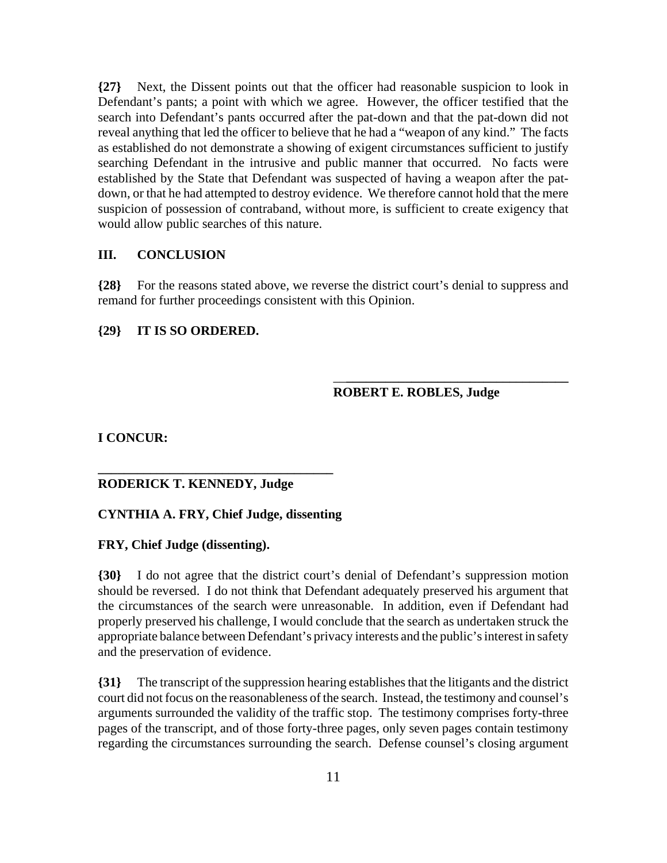**{27}** Next, the Dissent points out that the officer had reasonable suspicion to look in Defendant's pants; a point with which we agree. However, the officer testified that the search into Defendant's pants occurred after the pat-down and that the pat-down did not reveal anything that led the officer to believe that he had a "weapon of any kind." The facts as established do not demonstrate a showing of exigent circumstances sufficient to justify searching Defendant in the intrusive and public manner that occurred. No facts were established by the State that Defendant was suspected of having a weapon after the patdown, or that he had attempted to destroy evidence. We therefore cannot hold that the mere suspicion of possession of contraband, without more, is sufficient to create exigency that would allow public searches of this nature.

#### **III. CONCLUSION**

**{28}** For the reasons stated above, we reverse the district court's denial to suppress and remand for further proceedings consistent with this Opinion.

## **{29} IT IS SO ORDERED.**

## **ROBERT E. ROBLES, Judge**

\_\_**\_\_\_\_\_\_\_\_\_\_\_\_\_\_\_\_\_\_\_\_\_\_\_\_\_\_\_\_\_\_\_\_\_\_**

**I CONCUR:**

# **RODERICK T. KENNEDY, Judge**

# **CYNTHIA A. FRY, Chief Judge, dissenting**

**\_\_\_\_\_\_\_\_\_\_\_\_\_\_\_\_\_\_\_\_\_\_\_\_\_\_\_\_\_\_\_\_\_\_\_\_**

## **FRY, Chief Judge (dissenting).**

**{30}** I do not agree that the district court's denial of Defendant's suppression motion should be reversed. I do not think that Defendant adequately preserved his argument that the circumstances of the search were unreasonable. In addition, even if Defendant had properly preserved his challenge, I would conclude that the search as undertaken struck the appropriate balance between Defendant's privacy interests and the public's interest in safety and the preservation of evidence.

**{31}** The transcript of the suppression hearing establishes that the litigants and the district court did not focus on the reasonableness of the search. Instead, the testimony and counsel's arguments surrounded the validity of the traffic stop. The testimony comprises forty-three pages of the transcript, and of those forty-three pages, only seven pages contain testimony regarding the circumstances surrounding the search. Defense counsel's closing argument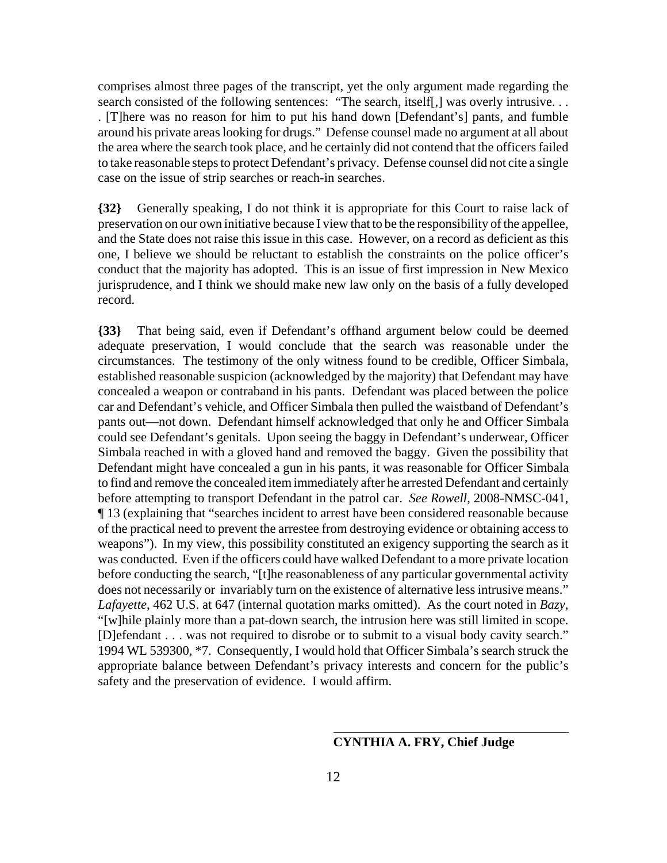comprises almost three pages of the transcript, yet the only argument made regarding the search consisted of the following sentences: "The search, itself[,] was overly intrusive... . [T]here was no reason for him to put his hand down [Defendant's] pants, and fumble around his private areas looking for drugs." Defense counsel made no argument at all about the area where the search took place, and he certainly did not contend that the officers failed to take reasonable steps to protect Defendant's privacy. Defense counsel did not cite a single case on the issue of strip searches or reach-in searches.

**{32}** Generally speaking, I do not think it is appropriate for this Court to raise lack of preservation on our own initiative because I view that to be the responsibility of the appellee, and the State does not raise this issue in this case. However, on a record as deficient as this one, I believe we should be reluctant to establish the constraints on the police officer's conduct that the majority has adopted. This is an issue of first impression in New Mexico jurisprudence, and I think we should make new law only on the basis of a fully developed record.

**{33}** That being said, even if Defendant's offhand argument below could be deemed adequate preservation, I would conclude that the search was reasonable under the circumstances. The testimony of the only witness found to be credible, Officer Simbala, established reasonable suspicion (acknowledged by the majority) that Defendant may have concealed a weapon or contraband in his pants. Defendant was placed between the police car and Defendant's vehicle, and Officer Simbala then pulled the waistband of Defendant's pants out—not down. Defendant himself acknowledged that only he and Officer Simbala could see Defendant's genitals. Upon seeing the baggy in Defendant's underwear, Officer Simbala reached in with a gloved hand and removed the baggy. Given the possibility that Defendant might have concealed a gun in his pants, it was reasonable for Officer Simbala to find and remove the concealed item immediately after he arrested Defendant and certainly before attempting to transport Defendant in the patrol car. *See Rowell*, 2008-NMSC-041, ¶ 13 (explaining that "searches incident to arrest have been considered reasonable because of the practical need to prevent the arrestee from destroying evidence or obtaining access to weapons"). In my view, this possibility constituted an exigency supporting the search as it was conducted. Even if the officers could have walked Defendant to a more private location before conducting the search, "[t]he reasonableness of any particular governmental activity does not necessarily or invariably turn on the existence of alternative less intrusive means." *Lafayette*, 462 U.S. at 647 (internal quotation marks omitted). As the court noted in *Bazy*, "[w]hile plainly more than a pat-down search, the intrusion here was still limited in scope. [D]efendant . . . was not required to disrobe or to submit to a visual body cavity search." 1994 WL 539300, \*7. Consequently, I would hold that Officer Simbala's search struck the appropriate balance between Defendant's privacy interests and concern for the public's safety and the preservation of evidence. I would affirm.

# **CYNTHIA A. FRY, Chief Judge**